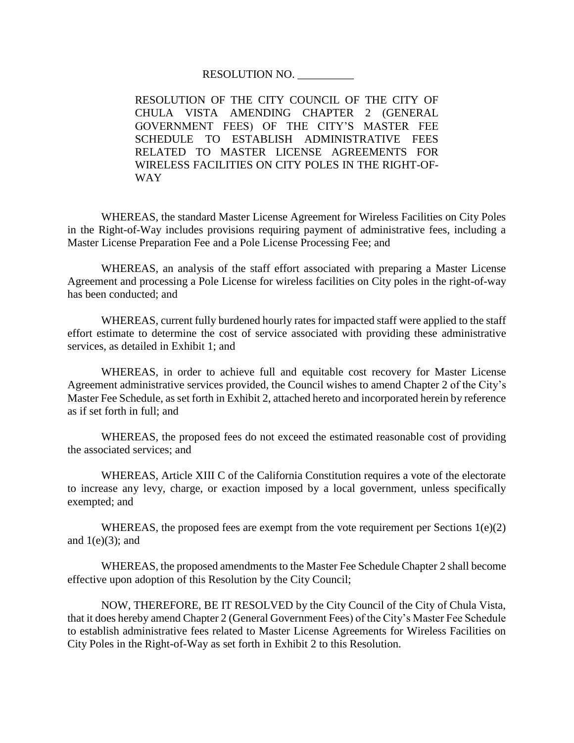RESOLUTION NO. \_\_\_\_\_\_\_\_\_\_

RESOLUTION OF THE CITY COUNCIL OF THE CITY OF CHULA VISTA AMENDING CHAPTER 2 (GENERAL GOVERNMENT FEES) OF THE CITY'S MASTER FEE SCHEDULE TO ESTABLISH ADMINISTRATIVE FEES RELATED TO MASTER LICENSE AGREEMENTS FOR WIRELESS FACILITIES ON CITY POLES IN THE RIGHT-OF-WAY

WHEREAS, the standard Master License Agreement for Wireless Facilities on City Poles in the Right-of-Way includes provisions requiring payment of administrative fees, including a Master License Preparation Fee and a Pole License Processing Fee; and

WHEREAS, an analysis of the staff effort associated with preparing a Master License Agreement and processing a Pole License for wireless facilities on City poles in the right-of-way has been conducted; and

WHEREAS, current fully burdened hourly rates for impacted staff were applied to the staff effort estimate to determine the cost of service associated with providing these administrative services, as detailed in Exhibit 1; and

WHEREAS, in order to achieve full and equitable cost recovery for Master License Agreement administrative services provided, the Council wishes to amend Chapter 2 of the City's Master Fee Schedule, as set forth in Exhibit 2, attached hereto and incorporated herein by reference as if set forth in full; and

WHEREAS, the proposed fees do not exceed the estimated reasonable cost of providing the associated services; and

WHEREAS, Article XIII C of the California Constitution requires a vote of the electorate to increase any levy, charge, or exaction imposed by a local government, unless specifically exempted; and

WHEREAS, the proposed fees are exempt from the vote requirement per Sections  $1(e)(2)$ and  $1(e)(3)$ ; and

WHEREAS, the proposed amendments to the Master Fee Schedule Chapter 2 shall become effective upon adoption of this Resolution by the City Council;

NOW, THEREFORE, BE IT RESOLVED by the City Council of the City of Chula Vista, that it does hereby amend Chapter 2 (General Government Fees) of the City's Master Fee Schedule to establish administrative fees related to Master License Agreements for Wireless Facilities on City Poles in the Right-of-Way as set forth in Exhibit 2 to this Resolution.